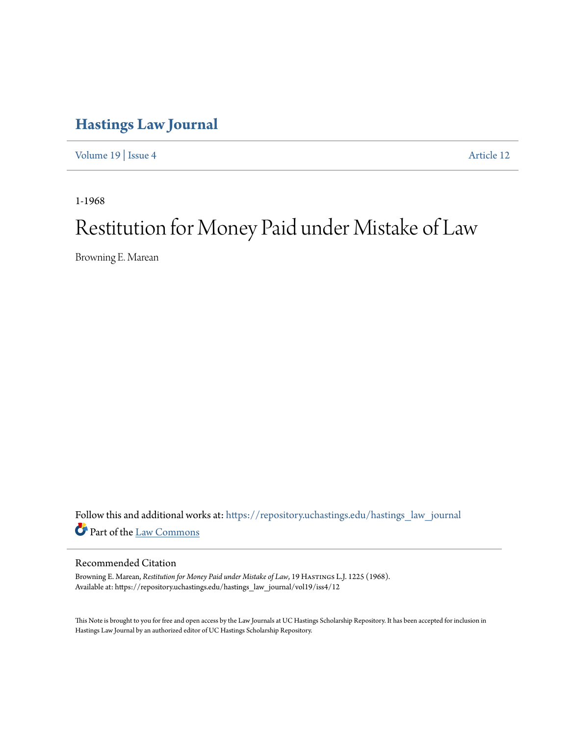# **[Hastings Law Journal](https://repository.uchastings.edu/hastings_law_journal?utm_source=repository.uchastings.edu%2Fhastings_law_journal%2Fvol19%2Fiss4%2F12&utm_medium=PDF&utm_campaign=PDFCoverPages)**

[Volume 19](https://repository.uchastings.edu/hastings_law_journal/vol19?utm_source=repository.uchastings.edu%2Fhastings_law_journal%2Fvol19%2Fiss4%2F12&utm_medium=PDF&utm_campaign=PDFCoverPages) | [Issue 4](https://repository.uchastings.edu/hastings_law_journal/vol19/iss4?utm_source=repository.uchastings.edu%2Fhastings_law_journal%2Fvol19%2Fiss4%2F12&utm_medium=PDF&utm_campaign=PDFCoverPages) [Article 12](https://repository.uchastings.edu/hastings_law_journal/vol19/iss4/12?utm_source=repository.uchastings.edu%2Fhastings_law_journal%2Fvol19%2Fiss4%2F12&utm_medium=PDF&utm_campaign=PDFCoverPages)

1-1968

# Restitution for Money Paid under Mistake of Law

Browning E. Marean

Follow this and additional works at: [https://repository.uchastings.edu/hastings\\_law\\_journal](https://repository.uchastings.edu/hastings_law_journal?utm_source=repository.uchastings.edu%2Fhastings_law_journal%2Fvol19%2Fiss4%2F12&utm_medium=PDF&utm_campaign=PDFCoverPages) Part of the [Law Commons](http://network.bepress.com/hgg/discipline/578?utm_source=repository.uchastings.edu%2Fhastings_law_journal%2Fvol19%2Fiss4%2F12&utm_medium=PDF&utm_campaign=PDFCoverPages)

## Recommended Citation

Browning E. Marean, *Restitution for Money Paid under Mistake of Law*, 19 HASTINGS L.J. 1225 (1968). Available at: https://repository.uchastings.edu/hastings\_law\_journal/vol19/iss4/12

This Note is brought to you for free and open access by the Law Journals at UC Hastings Scholarship Repository. It has been accepted for inclusion in Hastings Law Journal by an authorized editor of UC Hastings Scholarship Repository.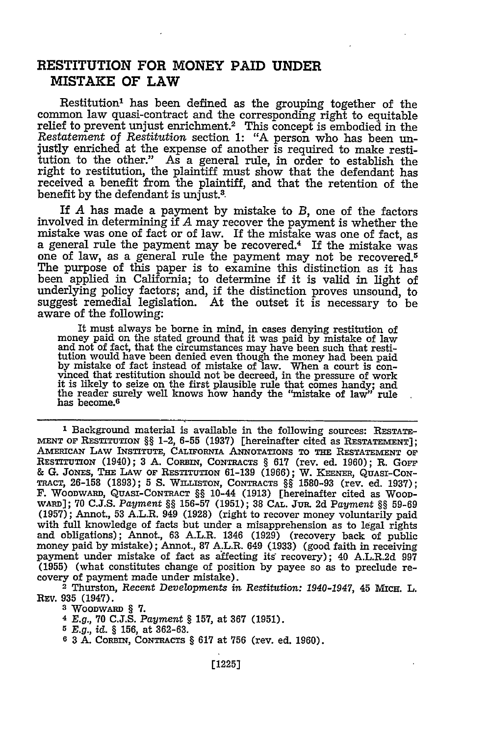# **RESTITUTION FOR MONEY PAID UNDER MISTAKE OF LAW**

Restitution<sup>1</sup> has been defined as the grouping together of the common law quasi-contract and the corresponding right to equitable *Restatement of Restitution* section 1: "A person who has been unjustly enriched at the expense of another is required to make restitution to the other." As a general rule, in order to establish the right to restitution, the plaintiff must show that the defendant has received a benefit from the plaintiff, and that the retention of the benefit by the defendant is unjust.<sup>3</sup>

If *A* has made a payment by mistake to *B,* one of the factors involved in determining if *A* may recover the payment is whether the mistake was one of fact or of law. If the mistake was one of fact, as a general rule the payment may be recovered.<sup>4</sup> If the mistake was one of law, as a general rule the payment may not be recovered.<sup>5</sup> The purpose of this paper is to examine this distinction as it has been applied in California; to determine if it is valid in light of underlying policy factors; and, if the distinction proves unsound, to suggest remedial legislation. At the outset it is necessary to be aware of the following:

It must always be borne in mind, in cases denying restitution of money paid on the stated ground that it was paid by mistake of law and not of fact, that the circumstances may have been such that restitution would have been denied even though the money had been paid by mistake of fact instead of mistake of law. When a court is con-vinced that restitution should not be decreed, in the pressure of work if is likely to seize on the first plausible rule that comes handy; and it is likely to seize on the first plausible rule that comes handy; and the reader surely well knows how handy the "mistake of law" rule has become.<sup>6</sup>

**1** Background material is available in the following sources: RESTATE-MENT **OF RESTrUTON §§** 1-2, 6-55 (1937) [hereinafter cited as **RESTATEMENT];** AzmIEcAN LAW INSTITUTE, CALIFoRNIA ANNOTATIONS TO **THE RESTATEMENT** OF RESTITUTION (1940); **3 A.** CoRINl, **CONTRACTS § 617** (rev. ed. **1960);** R. Gorr **& G.** JONES, **THE** LAW OF RESTITUTION **61-139 (1966);** W. KEENER, QUASI-CON-TRACT, 26-158 **(1893); 5 S.** WILLISTON, **CONTRACTS §§ 1580-93** (rev. ed. **1937);** F. WOoDWARD, **QUASI-CONTRACT §§** 10-44 **(1913)** [hereinafter cited as **WooD-**WARD]; **70 C.J.S.** *Payment §§* **156-57 (1951); 38 CAL.** JUR. **2d** Payment **§§ 59-69 (1957);** Annot., **53** A.L.R. 949 **(1928)** (right to recover money voluntarily paid with full knowledge of facts but under a misapprehension as to legal rights and obligations); Annot., **63** A.L.R. 1346 **(1929)** (recovery back of public money paid **by** mistake); Annot., **87** A.L.R. 649 **(1933)** (good faith in receiving payment under mistake of fact as affecting its recovery); 40 A.L.R.2d **997 (1955)** (what constitutes change of position **by** payee so as to preclude re- covery of payment made under mistake).

2 Thurston, *Recent Developments in Restitution: 1940-1947,* 45 Micu. L. **REv. 935** (1947).

**3** WOODWARD **§ 7.**

*4 E.g.,* 70 C.J.S. *Payment* § **157,** at **367** (1951).

*5 E.g., id. §* 156, at 362-63.

**6 3** A. CORBIN, **CONTRACTS** § **617** at 756 (rev. ed. 1960).

[1225]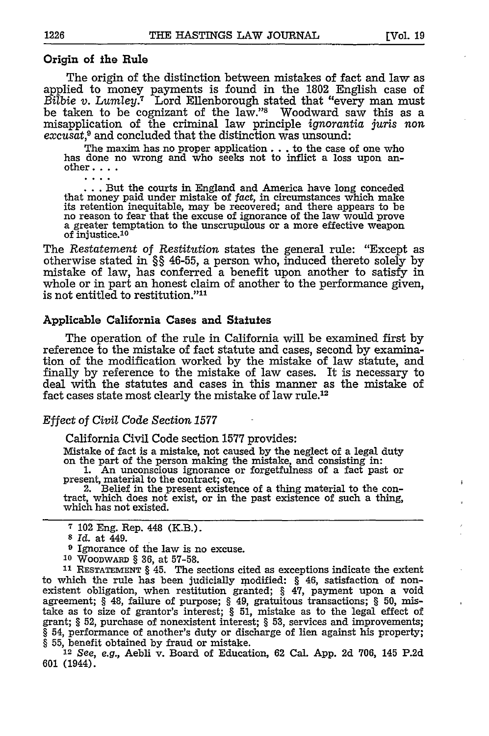### Origin of the Rule

 $\cdots$ 

The origin of the distinction between mistakes of fact and law as applied to money payments is found in the **1802** English case of *Bilbie v. Lumley.7* Lord Ellenborough stated that "every man must be taken to be cognizant of the law."<sup>8</sup> Woodward saw this as a misapplication of the criminal law principle ignorantia *juris* non excusat,<sup>9</sup> and concluded that the distinction was unsound:

The maxim has no proper application **...** to the case of one who has done no wrong and who seeks not to inflict a loss upon another **....**

... But the courts in England and America have long conceded that money paid under mistake of fact, in circumstances which make its retention inequitable, may be recovered; and there appears to be no reason to fear that the excuse of ignorance of the law would prove a greater temptation to the unscrupulous or a more effective weapon of injustice.<sup>10</sup>

The Restatement of Restitution states the general rule: "Except as otherwise stated in §§ **46-55,** a person who, induced thereto solely **by** mistake of law, has conferred a benefit upon another to satisfy in whole or in part an honest claim of another to the performance given, is not entitled to restitution."<sup>11</sup>

#### Applicable California Cases and Statutes

The operation of the rule in California will be examined first **by** reference to the mistake of fact statute and cases, second by examination of the modification worked by the mistake of law statute, and finally **by** reference to the mistake of law cases. It is necessary to deal with the statutes and cases in this manner as the mistake of fact cases state most clearly the mistake of law rule.12

#### Effect of *Civil Code Section 1577*

California Civil Code section 1577 provides:

Mistake of fact is a mistake, not caused by the neglect of a legal duty on the part of the person making the mistake, and consisting in: 1. An unconscious ignorance or forgetfulness of a fact past or

present, material to the contract; or, 2. Belief in the present existence of a thing material to the con-

tract, which does not exist, or in the past existence of such a thing, which has not existed.

- **9** Ignorance of the law is no excuse.
- **<sup>10</sup>**WooDwARW § 36, at 57-58.

**11 RESTATEMENT** § 45. The sections cited as exceptions indicate the extent to which the rule has been judicially modified: § 46, satisfaction of non- existent obligation, when restitution granted; § 47, payment upon a void agreement; § 48, failure of purpose; § 49, gratuitous transactions; § 50, mistake as to size of grantor's interest; § 51, mistake as to the legal effect of grant; § 52, purchase of nonexistent interest; § 53, services and improvements; § 54, performance of another's duty or discharge of lien against his property; § 55, benefit obtained by fraud or mistake.

<sup>12</sup>*See, e.g.,* Aebli v. Board of Education, 62 Cal. App. 2d 706, 145 P.2d 601 (1944).

**<sup>7</sup>**102 Eng. Rep. 448 (K.B.). **<sup>s</sup>***Id.* at 449.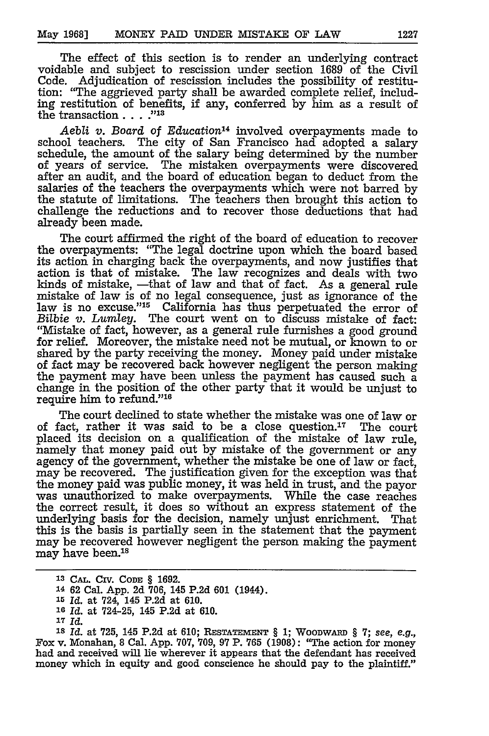The effect of this section is to render an underlying contract voidable and subject to rescission under section 1689 of the Civil Code. Adjudication of rescission includes the possibility of restitution: "The aggrieved party shall be awarded complete relief, including restitution of benefits, if any, conferred by him as a result of the transaction **.... -1**

Aebli v. Board of *Education*<sup>14</sup> involved overpayments made to school teachers. The city of San Francisco had adopted a salary schedule, the amount of the salary being determined by the number of years of service. The mistaken overpayments were discovered after an audit, and the board of education began to deduct from the salaries of the teachers the overpayments which were not barred by the statute of limitations. The teachers then brought this action to challenge the reductions and to recover those deductions that had already been made.

The court affirmed the right of the board of education to recover the overpayments: "The legal doctrine upon which the board based its action in charging back the overpayments, and now justifies that action is that of mistake. The law recognizes and deals with two kinds of mistake, —that of law and that of fact. As a general rule mistake of law is of no legal consequence, just as ignorance of the law is no excuse."<sup>15</sup> California has thus perpetuated the error of *Bilbie v. Lumley.* The court went on to discuss mistake of fact: "Mistake of fact, however, as a general rule furnishes a good ground for relief. Moreover, the mistake need not be mutual, or known to or shared by the party receiving the money. Money paid under mistake of fact may be recovered back however negligent the person making the payment may have been unless the payment has caused such a change in the position of the other party that it would be unjust to require him to refund."'16

The court declined to state whether the mistake was one of law or of fact, rather it was said to be a close question.<sup>17</sup> The court placed its decision on a qualification of the mistake of law rule, namely that money paid out by mistake of the government or any agency of the government, whether the mistake be one of law or fact, may be recovered. The justification given for the exception was that the money paid was public money, it was held in trust, and the payor was unauthorized to make overpayments. While the case reaches the correct result, it does so without an express statement of the underlying basis for the decision, namely unjust enrichment. That this is the basis is partially seen in the statement that the payment may be recovered however negligent the person making the payment may have been.<sup>18</sup>

**Is** *Id.* at 725, 145 P.2d at 610; **RESTATEmENT** § **1;** WooDwARw § 7; *see, e.g.,* Fox v. Monahan, 8 Cal. App. 707, 709, 97 P. 765 (1908): "The action for money had and received will lie wherever it appears that the defendant has received money which in equity and good conscience he should pay to the plaintiff."

**<sup>13</sup> CAL.** CIV. **CODE § 1692.**

**<sup>14</sup>62** Cal. App. **2d** 706, 145 P.2d 601 (1944).

**<sup>1</sup>r** *Id.* at 724, 145 P.2d at 610.

**<sup>16</sup>***Id.* at 724-25, 145 P.2d at 610.

**<sup>17</sup>***Id.*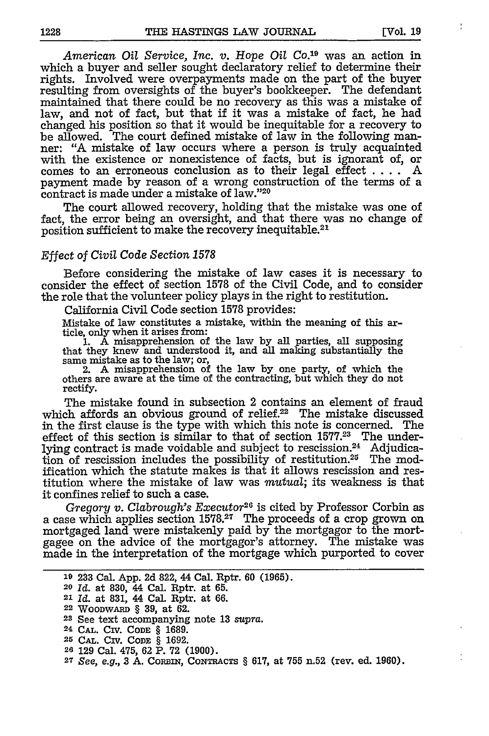ŧ

*American Oil Service, Inc. v. Hope Oil Co.19* was an action in which a buyer and seller sought declaratory relief to determine their rights. Involved were overpayments made on the part of the buyer resulting from oversights of the buyer's bookkeeper. The defendant maintained that there could be no recovery as this was a mistake of law, and not of fact, but that if it was a mistake of fact, he had changed his position so that it would be inequitable for a recovery to be allowed. The court defined mistake of law in the following manner: "A mistake of law occurs where a person is truly acquainted with the existence or nonexistence of facts, but is ignorant of, or comes to an erroneous conclusion as to their legal effect .... A payment made by reason of a wrong construction of the terms of a contract is made under a mistake of law."20

The court allowed recovery, holding that the mistake was one of fact, the error being an oversight, and that there was no change of position sufficient to make the recovery inequitable.<sup>21</sup>

#### *Effect of Civil Code Section 1578*

Before considering the mistake of law cases it is necessary to consider the effect of section 1578 of the Civil Code, and to consider the role that the volunteer policy plays in the right to restitution.

California Civil Code section 1578 provides:

Mistake of law constitutes a mistake, within the meaning of this article, only when it arises from:<br>1. A misapprehension of

1. A misapprehension of the law by all parties, all supposing that they knew and understood it, and all making substantially the same mistake as to the law; or,<br>
2. A misapprehension of the law by one party, of which the

others are aware at the time of the contracting, but which they do not rectify.

The mistake found in subsection 2 contains an element of fraud which affords an obvious ground of relief.<sup>22</sup> The mistake discussed in the first clause is the type with which this note is concerned. The effect of this section is similar to that of section 1577.<sup>23</sup> The underlying contract is made voidable and subject to rescission.24 Adjudication of rescission includes the possibility of restitution.25 The modification which the statute makes is that it allows rescission and restitution where the mistake of law was *mutual;* its weakness is that it confines relief to such a case.

*Gregory v. Clabrough's Executor*<sup>26</sup> is cited by Professor Corbin as a case which applies section 1578.27 The proceeds of a crop grown on mortgaged land were mistakenly paid by the mortgagor to the mortgagee on the advice of the mortgagor's attorney. The mistake was made in the interpretation of the mortgage which purported to cover

|  |  |  |  |  |  |  |  |  |  | <sup>19</sup> 233 Cal. App. 2d 822, 44 Cal. Rptr. 60 (1965). |  |
|--|--|--|--|--|--|--|--|--|--|--------------------------------------------------------------|--|
|--|--|--|--|--|--|--|--|--|--|--------------------------------------------------------------|--|

**<sup>19</sup>**233 Cal. App. 2d 822, 44 Cal. Rptr. 60 (1965). **<sup>20</sup>***Id.* at **830,** 44 Cal. Rptr. at 65.

**<sup>21</sup>***Id.* at 831, 44 Cal. Rptr. at 66.

**<sup>22</sup>**WOODWARD § **39,** at 62.

- 24 **CAL.** CIV. **CODE** § 1689.
- **25 CAL.** Civ. CODE **§ 1692.**
- **26** 129 Cal. 475, 62 P. 72 **(1900).**

**<sup>23</sup>**See text accompanying note 13 *supra.*

**<sup>27</sup>***See, e.g.,* 3 **A.** CoRBIN, **CONTRACTS** § 617, at 755 n.52 (rev. ed. 1960).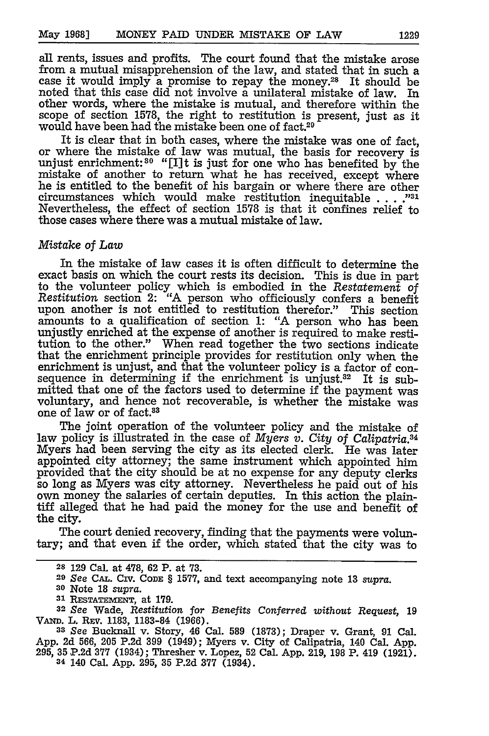all rents, issues and profits. The court found that the mistake arose from a mutual misapprehension of the law, and stated that in such a case it would imply a promise to repay the money.28 It should be noted that this case did not involve a unilateral mistake of law. In other words, where the mistake is mutual, and therefore within the scope of section 1578, the right to restitution is present, just as it would have been had the mistake been one of fact.29

It is clear that in both cases, where the mistake was one of fact, or where the mistake of law was mutual, the basis for recovery is unjust enrichment:<sup>30</sup> "[I]t is just for one who has benefited by the mistake of another to return what he has received, except where he is entitled to the benefit of his bargain or where there are other circumstances which would make restitution inequitable . . **. 1** Nevertheless, the effect of section 1578 is that it confines relief to those cases where there was a mutual mistake of law.

#### *Mistake of Law*

In the mistake of law cases it is often difficult to determine the exact basis on which the court rests its decision. This is due in part to the volunteer policy which is embodied in the *Restatement of Restitution* section 2: "A person who officiously confers a benefit upon another is not entitled to restitution therefor." This section amounts to a qualification of section 1: "A person who has been unjustly enriched at the expense of another is required to make restitution to the other." When read together the two sections indicate that the enrichment principle provides for restitution only when the enrichment is unjust, and that the volunteer policy is a factor of consequence in determining if the enrichment is unjust.<sup>32</sup> It is submitted that one of the factors used to determine if the payment was voluntary, and hence not recoverable, is whether the mistake was one of law or of fact.83

The joint operation of the volunteer policy and the mistake of law policy is illustrated in the case of *Myers v. City of Calipatria*.<sup>34</sup> Myers had been serving the city as its elected clerk. He was later appointed city attorney; the same instrument which appointed him provided that the city should be at no expense for any deputy clerks so long as Myers was city attorney. Nevertheless he paid out of his own money the salaries of certain deputies. In this action the plaintiff alleged that he had paid the money for the use and benefit of the city.

The court denied recovery, finding that the payments were voluntary; and that even if the order, which stated that the city was to

**<sup>33</sup>***See* Bucknall v. Story, 46 Cal. 589 (1873); Draper v. Grant, **91** Cal. App. 2d 566, 205 P.2d **399** (1949); Myers v. City of Calipatria, 140 Cal. App. 295, **35** P.2d **377** (1934); Thresher v. Lopez, 52 Cal. App. 219, 198 P. 419 (1921). **<sup>34</sup>**140 Cal. App. 295, **35 P.2d 377** (1934).

**<sup>28 129</sup>** Cal. at **478, 62** P. at **73.**

**<sup>29</sup>***See* **CAL.** Civ. CODE § 1577, and text accompanying note 13 *supra.*

**<sup>30</sup>**Note **18** *supra.*

<sup>&</sup>lt;sup>31</sup> RESTATEMENT, at 179.

**<sup>32</sup>***See* Wade, *Restitution for Benefits Conferred without Request,* **19** VAw. L. **REv. 1183, 1183-84 (1966).**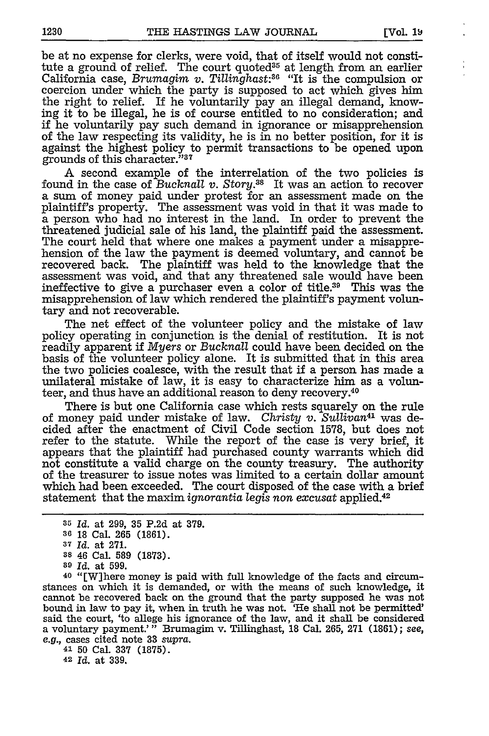be at no expense for clerks, were void, that of itself would not constitute a ground of relief. The court quoted<sup>35</sup> at length from an earlier California case, *Brumagim v. Tillinghast:3 <sup>6</sup>*"It is the compulsion or coercion under which the party is supposed to act which gives him the right to relief. If he voluntarily pay an illegal demand, knowing it to be illegal, he is of course entitled to no consideration; and if he voluntarily pay such demand in ignorance or misapprehension of the law respecting its validity, he is in no better position, for it is against the highest policy to permit transactions to be opened upon grounds of this character."37

A second example of the interrelation of the two policies is found in the case of *Bucknall v. Story.38* It was an action to recover a sum of money paid under protest for an assessment made on the plaintiff's property. The assessment was void in that it was made to a person who had no interest in the land. In order to prevent the threatened judicial sale of his land, the plaintiff paid the assessment. The court held that where one makes a payment under a misapprehension of the law the payment is deemed voluntary, and cannot be recovered back. The plaintiff was held to the knowledge that the assessment was void, and that any threatened sale would have been ineffective to give a purchaser even a color of title.39 This was the misapprehension of law which rendered the plaintiff's payment voluntary and not recoverable.

The net effect of the volunteer policy and the mistake of law policy operating in conjunction is the denial of restitution. It is not readily apparent if *Myers* or *Bucknall* could have been decided on the basis of the volunteer policy alone. It is submitted that in this area the two policies coalesce, with the result that if a person has made a unilateral mistake of law, it is easy to characterize him as a volunteer, and thus have an additional reason to deny recovery.40

There is but one California case which rests squarely on the rule of money paid under mistake of law. *Christy v. Sullivan4'* was decided after the enactment of Civil Code section 1578, but does not refer to the statute. While the report of the case is very brief, it appears that the plaintiff had purchased county warrants which did not constitute a valid charge on the county treasury. The authority of the treasurer to issue notes was limited to a certain dollar amount which had been exceeded. The court disposed of the case with a brief statement that the maxim *ignorantia* legis non *excusat* applied.<sup>42</sup>

- **<sup>38</sup>**46 Cal. **589 (1873).**
- **89 Id.** at **599.**

**40** "[W]here money is paid with full knowledge of the facts and circumstances on which it is demanded, or with the means of such knowledge, it cannot be recovered back on the ground that the party supposed he was not bound in law to pay it, when in truth he was not. 'He shall not be permitted' said the court, 'to allege his ignorance of the law, and it shall be considered a voluntary payment.'" Brumagim v. Tillinghast, 18 Cal. 265, 271 (1861); *see,* e.g., cases cited note 33 supra. <sup>41</sup>**50** Cal. 337 (1875).

<sup>42</sup>*Id.* at 339.

**<sup>35</sup>***Id.* at 299, 35 P.2d at 379.

**<sup>36</sup>**18 Cal. 265 (1861).

**<sup>37</sup>**Id. at 271.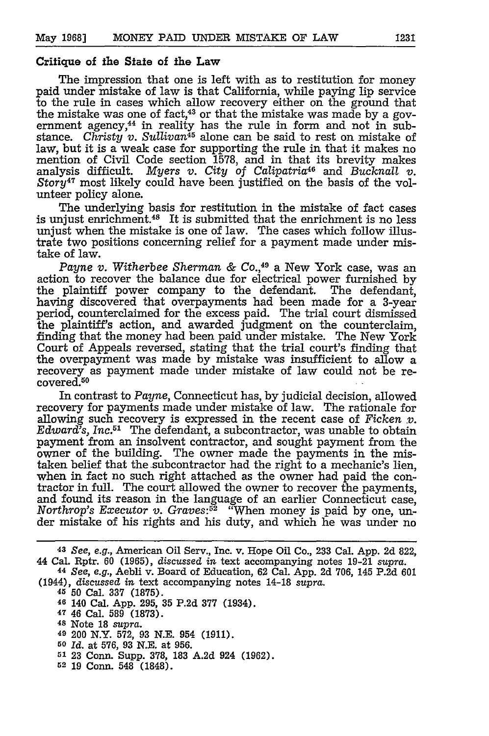#### Critique of the State of the Law

The impression that one is left with as to restitution for money paid under mistake of law is that California, while paying lip service to the rule in cases which allow recovery either on the ground that the mistake was one of fact, $43$  or that the mistake was made by a government agency,<sup>44</sup> in reality has the rule in form and not in substance. *Christy v. Sullivan45* alone can be said to rest on mistake of law, but it is a weak case for supporting the rule in that it makes no mention of Civil Code section 1578, and in that its brevity makes analysis difficult. *Myers v. City of Calipatria46* and *Bucknall v. Story47* most likely could have been justified on the basis of the volunteer policy alone.

The underlying basis for restitution in the mistake of fact cases is unjust enrichment.<sup>48</sup> It is submitted that the enrichment is no less unjust when the mistake is one of law. The cases which follow illustrate two positions concerning relief for a payment made under mistake of law.

*Payne v. Witherbee Sherman & Co.*,<sup>49</sup> a New York case, was an action to recover the balance due for electrical power furnished by the plaintiff power company to the defendant. The defendant, having discovered that overpayments had been made for a 3-year period, counterclaimed for the excess paid. The trial court dismissed the plaintiff's action, and awarded judgment on the counterclaim, finding that the money had been paid under mistake. The New York Court of Appeals reversed, stating that the trial court's finding that the overpayment was made by mistake was insufficient to allow a recovery as payment made under mistake of law could not be recovered.<sup>50</sup>

In contrast to *Payne,* Connecticut has, by judicial decision, allowed recovery for payments made under mistake of law. The rationale for allowing such recovery is expressed in the recent case of *Ficken v. Edward's, Inc.51* The defendant, a subcontractor, was unable to obtain payment from an insolvent contractor, and sought payment from the owner of the building. The owner made the payments in the mistaken belief that the subcontractor had the right to a mechanic's lien, when in fact no such right attached as the owner had paid the contractor in full. The court allowed the owner to recover the payments, and found its reason in the language of an earlier Connecticut case, *Northrop's Executor v. Graves:52* "When money is paid by one, under mistake of his rights and his duty, and which he was under no

<sup>45</sup>**50** Cal. 337 (1875).

- **46** 140 Cal. App. 295, 35 P.2d 377 (1934).
- 47 46 Cal. **589 (1873).**
- **<sup>48</sup>**Note 18 *supra.*
- **<sup>49</sup>**200 N.Y. 572, 93 N.E. 954 (1911).
- **<sup>50</sup>***Id.* at 576, 93 N.E. at 956.
- **51** 23 Conn. Supp. 378, 183 A.2d 924 (1962).
- **52** 19 Conn. 548 **(1848).**

**<sup>43</sup>***See, e.g.,* American Oil Serv., Inc. v. Hope Oil Co., 233 Cal. **App. 2d 822,** 44 Cal. Rptr. 60 (1965), *discussed in* text accompanying notes 19-21 *supra.*

**<sup>44</sup>***See, e.g.,* Aebli v. Board of Education, 62 Cal. App. 2d 706, 145 P.2d 601 (1944), *discussed in* text accompanying notes 14-18 *supra.*